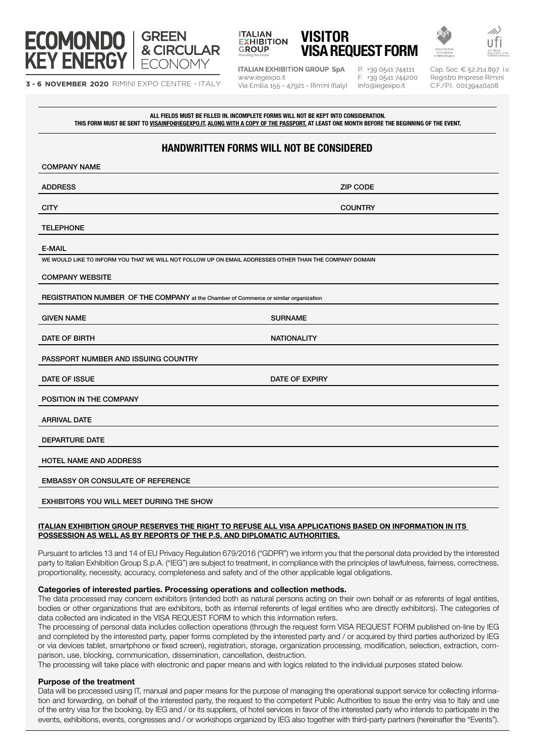

3 - 6 NOVEMBER 2020 RIMINI EXPO CENTRE - ITALY



**ITALIAN EXHIBITION GROUP SpA** www.iegexpo.it Via Emilia 155 - 47921 - Rimini (Italy)

P. +39 0541 744111 F. +39 0541 744200 info@iegexpo.it

Cap. Soc. € 52.214.897 i.v. Registro Imprese Rimini C.F./P.I. 00139440408

ALL FIELDS MUST BE FILLED IN. INCOMPLETE FORMS WILL NOT BE KEPT INTO CONSIDERATION. THIS FORM MUST BE SENT TO <u>VISAINFO@IEGEXPO.IT, ALONG WITH A COPY OF THE PASSPORT</u>, AT LEAST ONE MONTH BEFORE THE BEGINNING OF THE EVENT.

# HANDWRITTEN FORMS WILL NOT BE CONSIDERED

| <b>COMPANY NAME</b>                                                                                     |                       |  |
|---------------------------------------------------------------------------------------------------------|-----------------------|--|
| <b>ADDRESS</b>                                                                                          | <b>ZIP CODE</b>       |  |
| <b>CITY</b>                                                                                             | <b>COUNTRY</b>        |  |
| <b>TELEPHONE</b>                                                                                        |                       |  |
| <b>E-MAIL</b>                                                                                           |                       |  |
| WE WOULD LIKE TO INFORM YOU THAT WE WILL NOT FOLLOW UP ON EMAIL ADDRESSES OTHER THAN THE COMPANY DOMAIN |                       |  |
| <b>COMPANY WEBSITE</b>                                                                                  |                       |  |
| REGISTRATION NUMBER OF THE COMPANY at the Chamber of Commerce or similar organization                   |                       |  |
| <b>GIVEN NAME</b>                                                                                       | <b>SURNAME</b>        |  |
| DATE OF BIRTH                                                                                           | <b>NATIONALITY</b>    |  |
| PASSPORT NUMBER AND ISSUING COUNTRY                                                                     |                       |  |
| DATE OF ISSUE                                                                                           | <b>DATE OF EXPIRY</b> |  |
| POSITION IN THE COMPANY                                                                                 |                       |  |
| <b>ARRIVAL DATE</b>                                                                                     |                       |  |
| <b>DEPARTURE DATE</b>                                                                                   |                       |  |
| <b>HOTEL NAME AND ADDRESS</b>                                                                           |                       |  |
| <b>EMBASSY OR CONSULATE OF REFERENCE</b>                                                                |                       |  |
| EXHIBITORS YOU WILL MEET DURING THE SHOW                                                                |                       |  |

## ITALIAN EXHIBITION GROUP RESERVES THE RIGHT TO REFUSE ALL VISA APPLICATIONS BASED ON INFORMATION IN ITS POSSESSION AS WELL AS BY REPORTS OF THE P.S. AND DIPLOMATIC AUTHORITIES.

Pursuant to articles 13 and 14 of EU Privacy Regulation 679/2016 ("GDPR") we inform you that the personal data provided by the interested party to Italian Exhibition Group S.p.A. ("IEG") are subject to treatment, in compliance with the principles of lawfulness, fairness, correctness, proportionality, necessity, accuracy, completeness and safety and of the other applicable legal obligations.

## Categories of interested parties. Processing operations and collection methods.

The data processed may concern exhibitors (intended both as natural persons acting on their own behalf or as referents of legal entities, bodies or other organizations that are exhibitors, both as internal referents of legal entities who are directly exhibitors). The categories of data collected are indicated in the VISA REQUEST FORM to which this information refers.

The processing of personal data includes collection operations (through the request form VISA REQUEST FORM published on-line by IEG and completed by the interested party, paper forms completed by the interested party and / or acquired by third parties authorized by IEG or via devices tablet, smartphone or fixed screen), registration, storage, organization processing, modification, selection, extraction, comparison, use, blocking, communication, dissemination, cancellation, destruction.

The processing will take place with electronic and paper means and with logics related to the individual purposes stated below.

## Purpose of the treatment

Data will be processed using IT, manual and paper means for the purpose of managing the operational support service for collecting information and forwarding, on behalf of the interested party, the request to the competent Public Authorities to issue the entry visa to Italy and use of the entry visa for the booking, by IEG and / or its suppliers, of hotel services in favor of the interested party who intends to participate in the events, exhibitions, events, congresses and / or workshops organized by IEG also together with third-party partners (hereinafter the "Events").